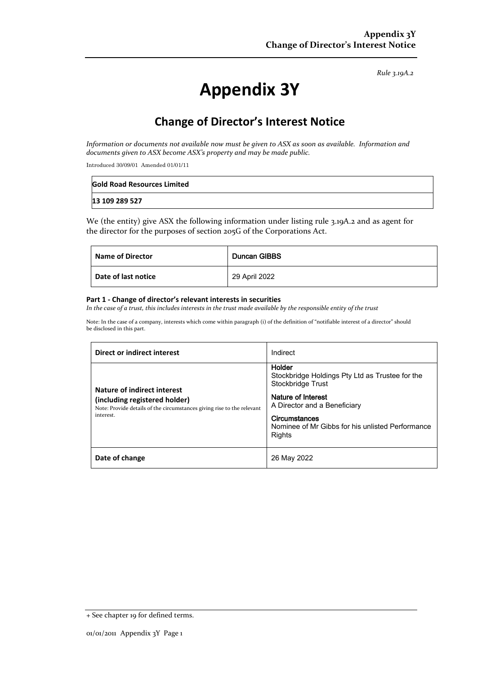*Rule 3.19A.2*

# **Appendix 3Y**

# **Change of Director's Interest Notice**

*Information or documents not available now must be given to ASX as soon as available. Information and documents given to ASX become ASX's property and may be made public.*

Introduced 30/09/01 Amended 01/01/11

| <b>Gold Road Resources Limited</b> |  |
|------------------------------------|--|
| 13 109 289 527                     |  |

We (the entity) give ASX the following information under listing rule 3.19A.2 and as agent for the director for the purposes of section 205G of the Corporations Act.

| <b>Name of Director</b> | <b>Duncan GIBBS</b> |
|-------------------------|---------------------|
| Date of last notice     | 29 April 2022       |

#### **Part 1 - Change of director's relevant interests in securities**

*In the case of a trust, this includes interests in the trust made available by the responsible entity of the trust*

Note: In the case of a company, interests which come within paragraph (i) of the definition of "notifiable interest of a director" should be disclosed in this part.

| Direct or indirect interest                                                                                                                         | Indirect                                                                                                                                                                                                            |
|-----------------------------------------------------------------------------------------------------------------------------------------------------|---------------------------------------------------------------------------------------------------------------------------------------------------------------------------------------------------------------------|
| Nature of indirect interest<br>(including registered holder)<br>Note: Provide details of the circumstances giving rise to the relevant<br>interest. | Holder<br>Stockbridge Holdings Pty Ltd as Trustee for the<br>Stockbridge Trust<br>Nature of Interest<br>A Director and a Beneficiary<br>Circumstances<br>Nominee of Mr Gibbs for his unlisted Performance<br>Rights |
| Date of change                                                                                                                                      | 26 May 2022                                                                                                                                                                                                         |

<sup>+</sup> See chapter 19 for defined terms.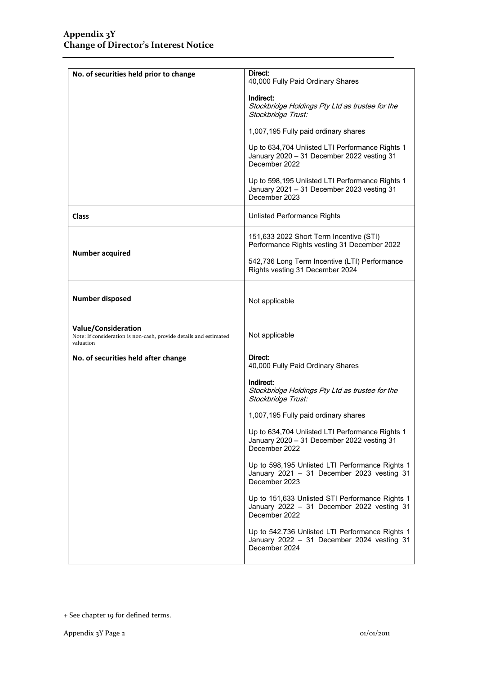| No. of securities held prior to change                                                                | Direct:<br>40,000 Fully Paid Ordinary Shares                                                                   |
|-------------------------------------------------------------------------------------------------------|----------------------------------------------------------------------------------------------------------------|
|                                                                                                       | Indirect:<br>Stockbridge Holdings Pty Ltd as trustee for the<br>Stockbridge Trust:                             |
|                                                                                                       | 1,007,195 Fully paid ordinary shares                                                                           |
|                                                                                                       | Up to 634,704 Unlisted LTI Performance Rights 1<br>January 2020 - 31 December 2022 vesting 31<br>December 2022 |
|                                                                                                       | Up to 598,195 Unlisted LTI Performance Rights 1<br>January 2021 - 31 December 2023 vesting 31<br>December 2023 |
| <b>Class</b>                                                                                          | Unlisted Performance Rights                                                                                    |
| <b>Number acquired</b>                                                                                | 151,633 2022 Short Term Incentive (STI)<br>Performance Rights vesting 31 December 2022                         |
|                                                                                                       | 542,736 Long Term Incentive (LTI) Performance<br>Rights vesting 31 December 2024                               |
| <b>Number disposed</b>                                                                                | Not applicable                                                                                                 |
| Value/Consideration<br>Note: If consideration is non-cash, provide details and estimated<br>valuation | Not applicable                                                                                                 |
| No. of securities held after change                                                                   | Direct:<br>40,000 Fully Paid Ordinary Shares                                                                   |
|                                                                                                       | Indirect:<br>Stockbridge Holdings Pty Ltd as trustee for the<br>Stockbridge Trust:                             |
|                                                                                                       | 1,007,195 Fully paid ordinary shares                                                                           |
|                                                                                                       | Up to 634,704 Unlisted LTI Performance Rights 1<br>January 2020 - 31 December 2022 vesting 31<br>December 2022 |
|                                                                                                       | Up to 598,195 Unlisted LTI Performance Rights 1<br>January 2021 - 31 December 2023 vesting 31<br>December 2023 |
|                                                                                                       | Up to 151,633 Unlisted STI Performance Rights 1<br>January 2022 - 31 December 2022 vesting 31                  |
|                                                                                                       | December 2022                                                                                                  |
|                                                                                                       | Up to 542,736 Unlisted LTI Performance Rights 1<br>January 2022 - 31 December 2024 vesting 31<br>December 2024 |

<sup>+</sup> See chapter 19 for defined terms.